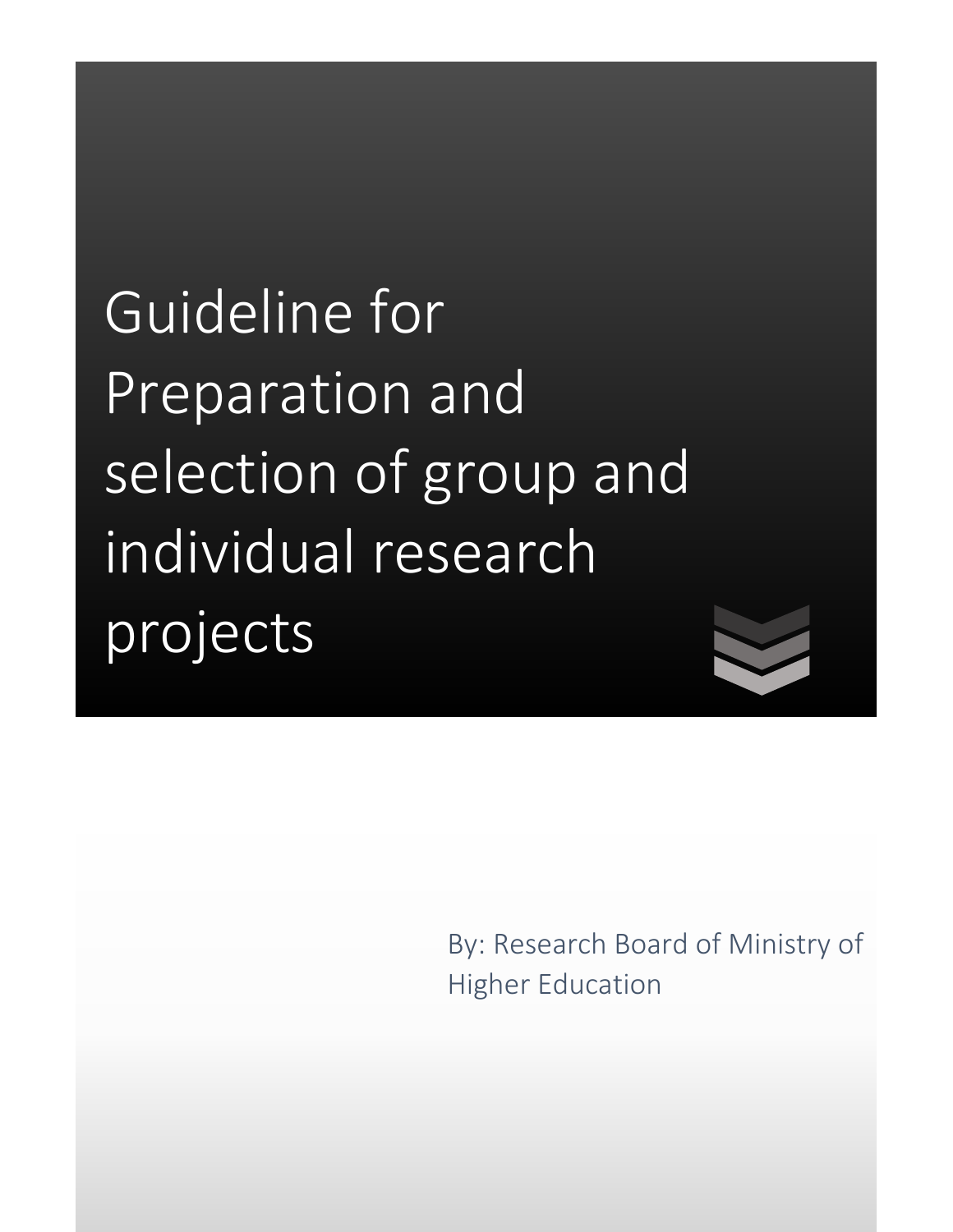Guideline for Preparation and selection of group and individual research projects

> By: Research Board of Ministry of Higher Education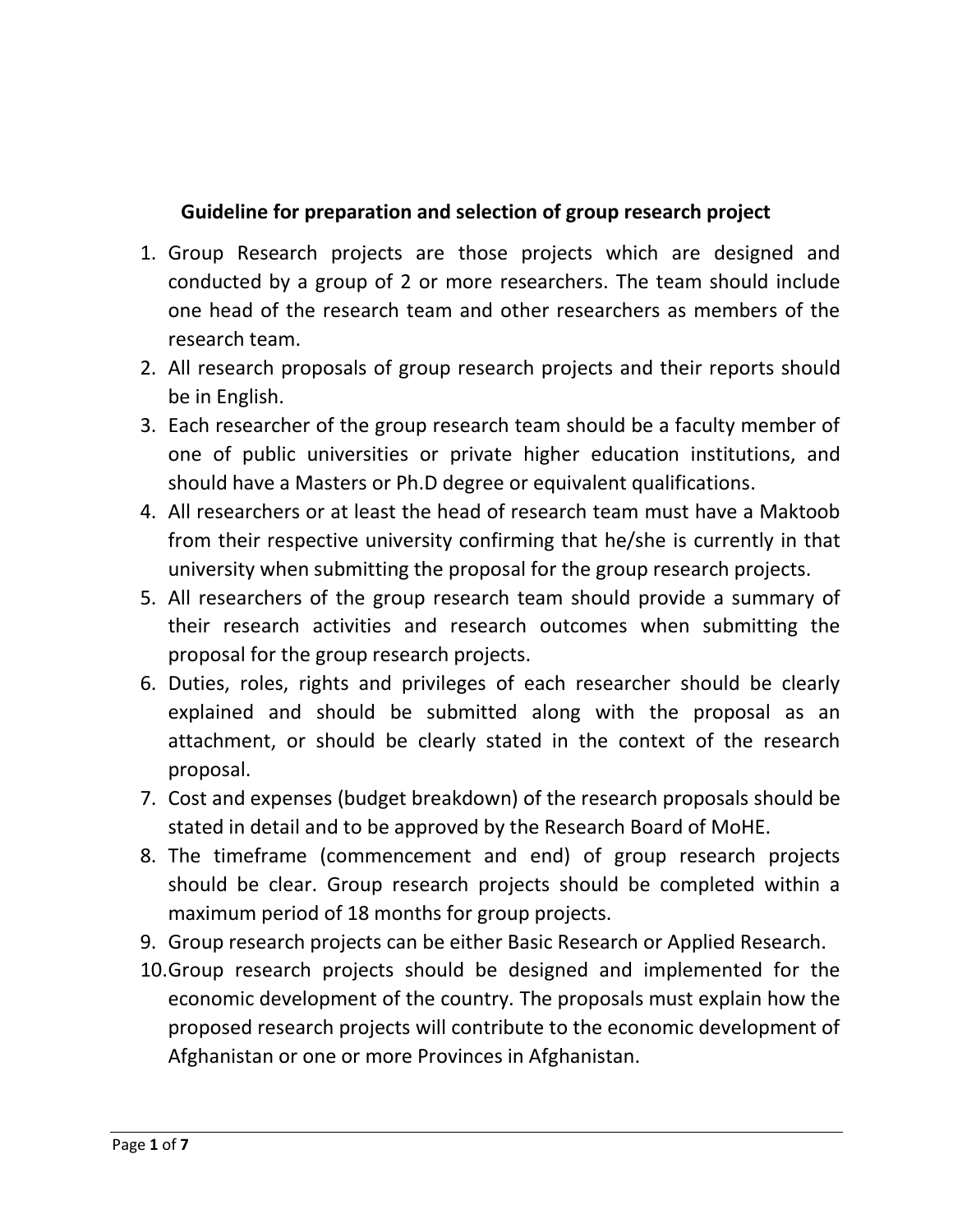## **Guideline for preparation and selection of group research project**

- 1. Group Research projects are those projects which are designed and conducted by a group of 2 or more researchers. The team should include one head of the research team and other researchers as members of the research team.
- 2. All research proposals of group research projects and their reports should be in English.
- 3. Each researcher of the group research team should be a faculty member of one of public universities or private higher education institutions, and should have a Masters or Ph.D degree or equivalent qualifications.
- 4. All researchers or at least the head of research team must have a Maktoob from their respective university confirming that he/she is currently in that university when submitting the proposal for the group research projects.
- 5. All researchers of the group research team should provide a summary of their research activities and research outcomes when submitting the proposal for the group research projects.
- 6. Duties, roles, rights and privileges of each researcher should be clearly explained and should be submitted along with the proposal as an attachment, or should be clearly stated in the context of the research proposal.
- 7. Cost and expenses (budget breakdown) of the research proposals should be stated in detail and to be approved by the Research Board of MoHE.
- 8. The timeframe (commencement and end) of group research projects should be clear. Group research projects should be completed within a maximum period of 18 months for group projects.
- 9. Group research projects can be either Basic Research or Applied Research.
- 10.Group research projects should be designed and implemented for the economic development of the country. The proposals must explain how the proposed research projects will contribute to the economic development of Afghanistan or one or more Provinces in Afghanistan.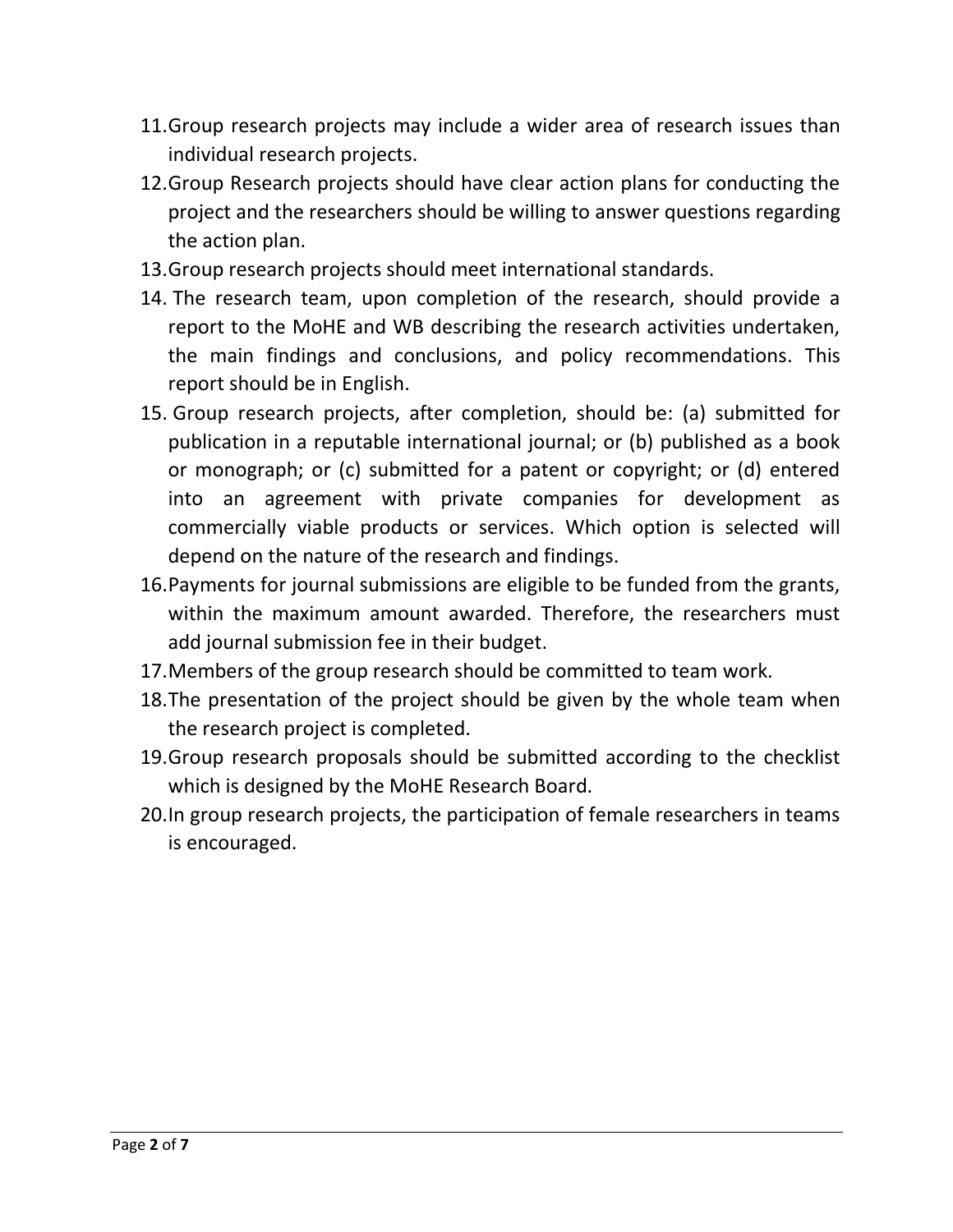- 11.Group research projects may include a wider area of research issues than individual research projects.
- 12.Group Research projects should have clear action plans for conducting the project and the researchers should be willing to answer questions regarding the action plan.
- 13.Group research projects should meet international standards.
- 14. The research team, upon completion of the research, should provide a report to the MoHE and WB describing the research activities undertaken, the main findings and conclusions, and policy recommendations. This report should be in English.
- 15. Group research projects, after completion, should be: (a) submitted for publication in a reputable international journal; or (b) published as a book or monograph; or (c) submitted for a patent or copyright; or (d) entered into an agreement with private companies for development as commercially viable products or services. Which option is selected will depend on the nature of the research and findings.
- 16.Payments for journal submissions are eligible to be funded from the grants, within the maximum amount awarded. Therefore, the researchers must add journal submission fee in their budget.
- 17.Members of the group research should be committed to team work.
- 18.The presentation of the project should be given by the whole team when the research project is completed.
- 19.Group research proposals should be submitted according to the checklist which is designed by the MoHE Research Board.
- 20.In group research projects, the participation of female researchers in teams is encouraged.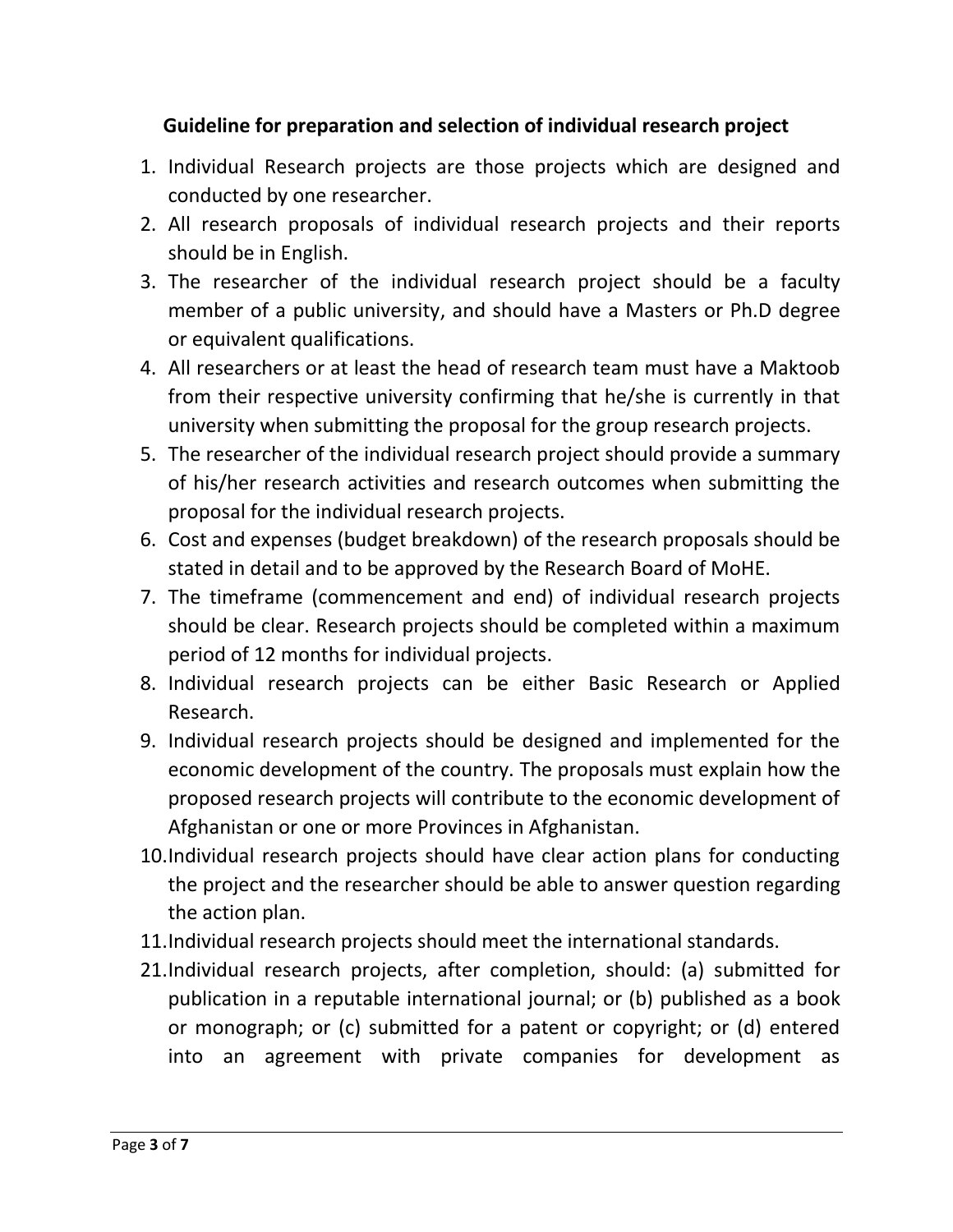## **Guideline for preparation and selection of individual research project**

- 1. Individual Research projects are those projects which are designed and conducted by one researcher.
- 2. All research proposals of individual research projects and their reports should be in English.
- 3. The researcher of the individual research project should be a faculty member of a public university, and should have a Masters or Ph.D degree or equivalent qualifications.
- 4. All researchers or at least the head of research team must have a Maktoob from their respective university confirming that he/she is currently in that university when submitting the proposal for the group research projects.
- 5. The researcher of the individual research project should provide a summary of his/her research activities and research outcomes when submitting the proposal for the individual research projects.
- 6. Cost and expenses (budget breakdown) of the research proposals should be stated in detail and to be approved by the Research Board of MoHE.
- 7. The timeframe (commencement and end) of individual research projects should be clear. Research projects should be completed within a maximum period of 12 months for individual projects.
- 8. Individual research projects can be either Basic Research or Applied Research.
- 9. Individual research projects should be designed and implemented for the economic development of the country. The proposals must explain how the proposed research projects will contribute to the economic development of Afghanistan or one or more Provinces in Afghanistan.
- 10.Individual research projects should have clear action plans for conducting the project and the researcher should be able to answer question regarding the action plan.
- 11.Individual research projects should meet the international standards.
- 21.Individual research projects, after completion, should: (a) submitted for publication in a reputable international journal; or (b) published as a book or monograph; or (c) submitted for a patent or copyright; or (d) entered into an agreement with private companies for development as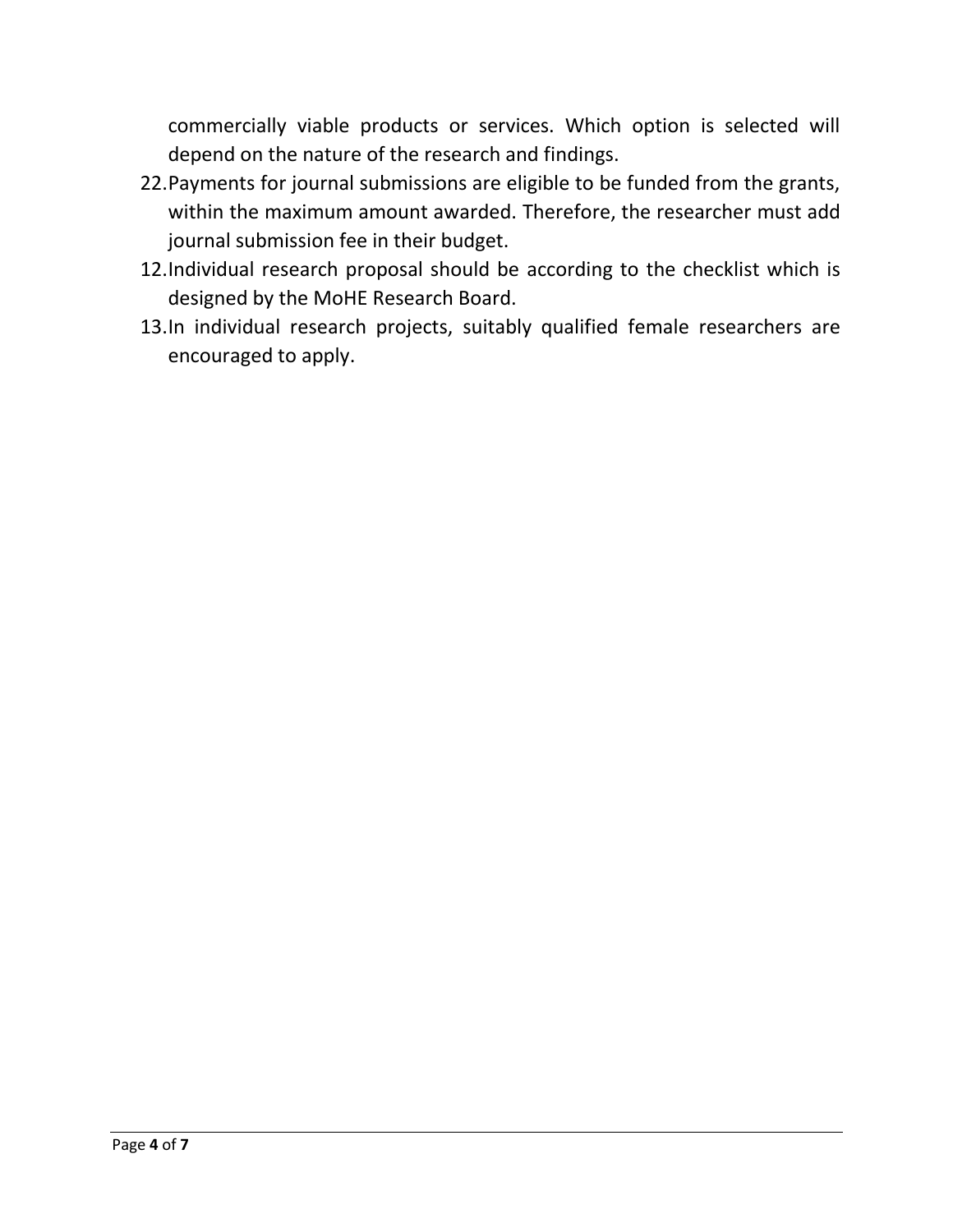commercially viable products or services. Which option is selected will depend on the nature of the research and findings.

- 22.Payments for journal submissions are eligible to be funded from the grants, within the maximum amount awarded. Therefore, the researcher must add journal submission fee in their budget.
- 12.Individual research proposal should be according to the checklist which is designed by the MoHE Research Board.
- 13.In individual research projects, suitably qualified female researchers are encouraged to apply.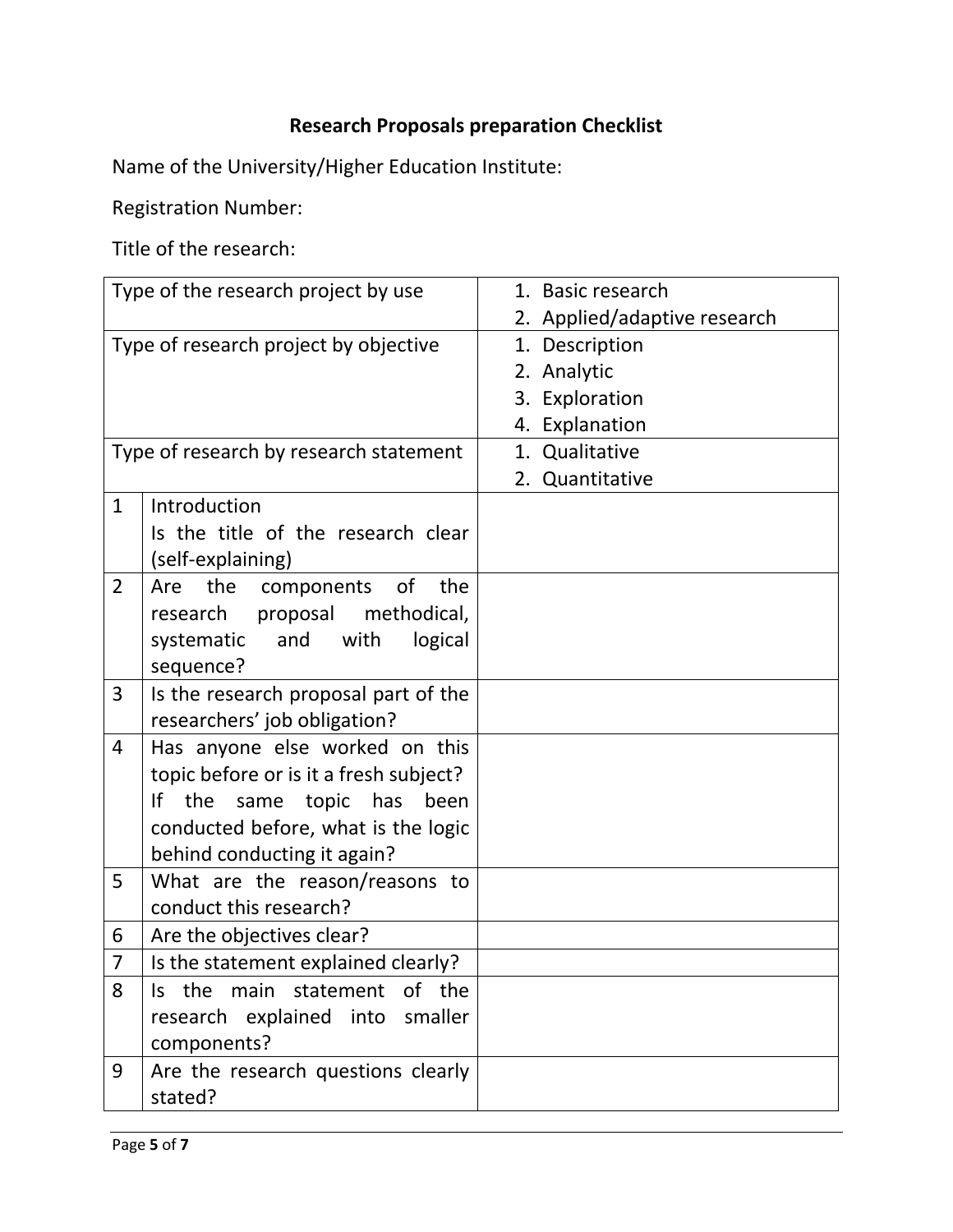## **Research Proposals preparation Checklist**

Name of the University/Higher Education Institute:

Registration Number:

Title of the research:

| Type of the research project by use    |                                                                                                                                                                                       | 1. Basic research                                                                                 |
|----------------------------------------|---------------------------------------------------------------------------------------------------------------------------------------------------------------------------------------|---------------------------------------------------------------------------------------------------|
| Type of research project by objective  |                                                                                                                                                                                       | 2. Applied/adaptive research<br>1. Description<br>2. Analytic<br>3. Exploration<br>4. Explanation |
| Type of research by research statement |                                                                                                                                                                                       | 1. Qualitative<br>2. Quantitative                                                                 |
| $\mathbf{1}$                           | Introduction<br>Is the title of the research clear<br>(self-explaining)                                                                                                               |                                                                                                   |
| $\overline{2}$                         | the<br>Are<br>components<br>0f<br>the<br>proposal methodical,<br>research<br>and<br>with<br>systematic<br>logical<br>sequence?                                                        |                                                                                                   |
| 3                                      | Is the research proposal part of the<br>researchers' job obligation?                                                                                                                  |                                                                                                   |
| 4                                      | Has anyone else worked on this<br>topic before or is it a fresh subject?<br>If<br>the<br>same topic has<br>been<br>conducted before, what is the logic<br>behind conducting it again? |                                                                                                   |
| 5                                      | What are the reason/reasons to<br>conduct this research?                                                                                                                              |                                                                                                   |
| 6                                      | Are the objectives clear?                                                                                                                                                             |                                                                                                   |
| $\overline{7}$                         | Is the statement explained clearly?                                                                                                                                                   |                                                                                                   |
| 8                                      | Is the main statement of the<br>research explained into smaller<br>components?                                                                                                        |                                                                                                   |
| 9                                      | Are the research questions clearly<br>stated?                                                                                                                                         |                                                                                                   |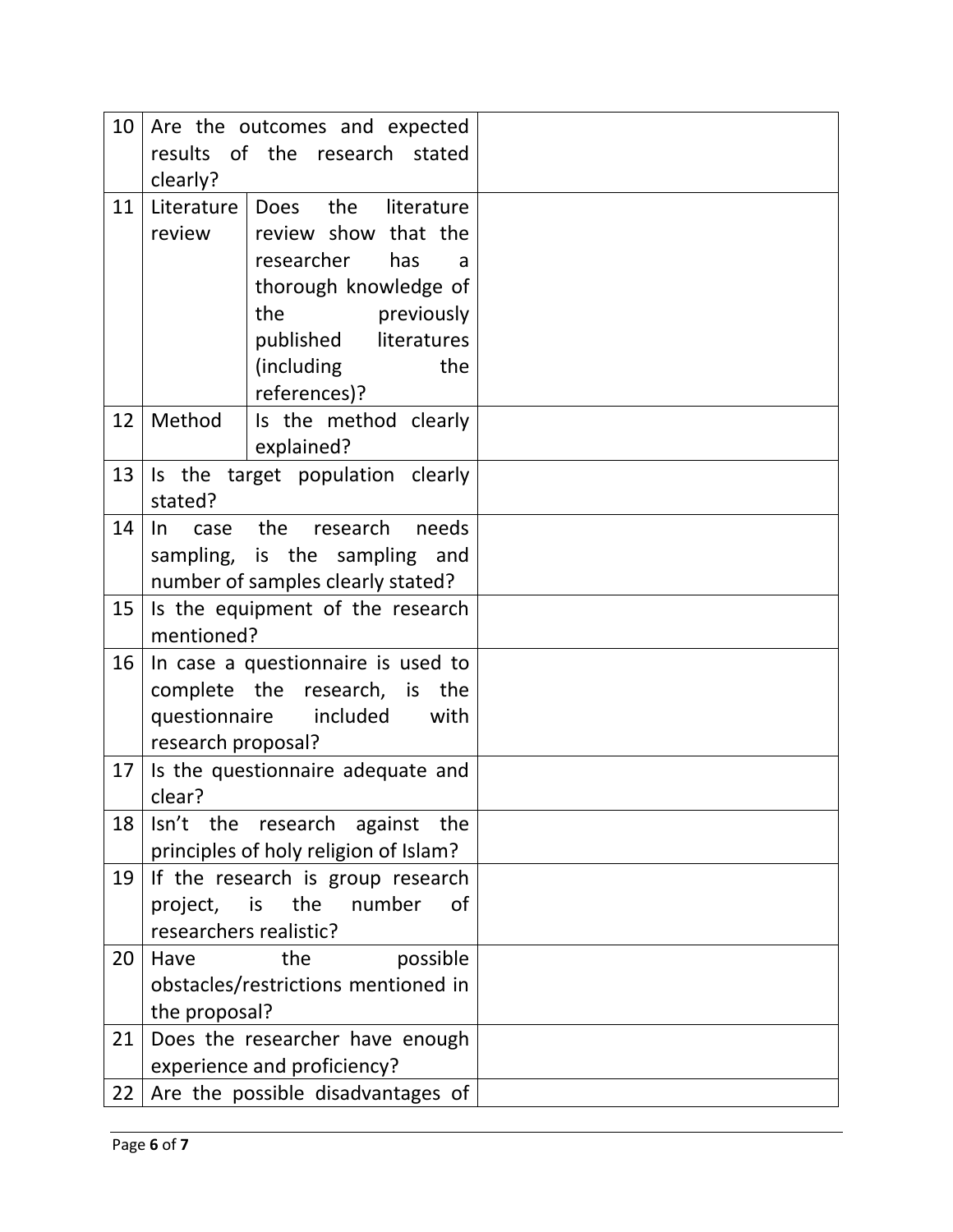| 10 |                                  | Are the outcomes and expected         |  |
|----|----------------------------------|---------------------------------------|--|
|    | results                          | of the research stated                |  |
|    | clearly?                         |                                       |  |
| 11 | Literature                       | the<br>literature<br>Does             |  |
|    | review                           | review show that the                  |  |
|    |                                  | researcher<br>has<br>a                |  |
|    |                                  | thorough knowledge of                 |  |
|    |                                  | the<br>previously                     |  |
|    |                                  | published literatures                 |  |
|    |                                  | (including<br>the                     |  |
|    |                                  | references)?                          |  |
| 12 | Method                           | Is the method clearly                 |  |
|    |                                  | explained?                            |  |
| 13 |                                  | Is the target population clearly      |  |
|    | stated?                          |                                       |  |
| 14 | $\ln$<br>case                    | the research<br>needs                 |  |
|    |                                  | sampling, is the sampling and         |  |
|    |                                  | number of samples clearly stated?     |  |
| 15 | Is the equipment of the research |                                       |  |
|    | mentioned?                       |                                       |  |
| 16 |                                  | In case a questionnaire is used to    |  |
|    |                                  | complete the research, is the         |  |
|    | questionnaire                    | included<br>with                      |  |
|    | research proposal?               |                                       |  |
| 17 | clear?                           | Is the questionnaire adequate and     |  |
| 18 |                                  | Isn't the research against the        |  |
|    |                                  | principles of holy religion of Islam? |  |
| 19 |                                  | If the research is group research     |  |
|    | project,                         | is<br>the number<br>0f                |  |
|    | researchers realistic?           |                                       |  |
| 20 | Have                             | the<br>possible                       |  |
|    |                                  | obstacles/restrictions mentioned in   |  |
|    | the proposal?                    |                                       |  |
| 21 |                                  | Does the researcher have enough       |  |
|    |                                  | experience and proficiency?           |  |
| 22 |                                  | Are the possible disadvantages of     |  |